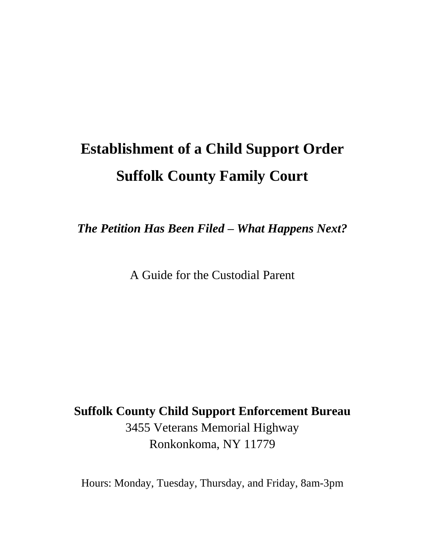# **Establishment of a Child Support Order Suffolk County Family Court**

*The Petition Has Been Filed – What Happens Next?*

A Guide for the Custodial Parent

**Suffolk County Child Support Enforcement Bureau** 3455 Veterans Memorial Highway Ronkonkoma, NY 11779

Hours: Monday, Tuesday, Thursday, and Friday, 8am-3pm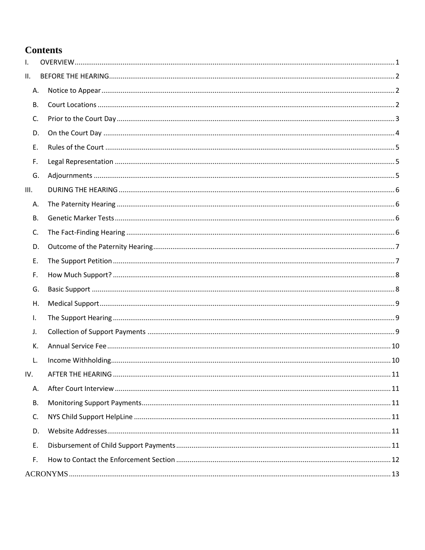#### **Contents**

| I.        |  |
|-----------|--|
| П.        |  |
| А.        |  |
| В.        |  |
| C.        |  |
| D.        |  |
| Ε.        |  |
| F.        |  |
| G.        |  |
| III.      |  |
| Α.        |  |
| В.        |  |
| C.        |  |
| D.        |  |
| Ε.        |  |
| F.        |  |
| G.        |  |
| Η.        |  |
| Τ.        |  |
| J.        |  |
| К.        |  |
| L.        |  |
| IV.       |  |
| А.        |  |
| <b>B.</b> |  |
| C.        |  |
| D.        |  |
| Ε.        |  |
| F.        |  |
|           |  |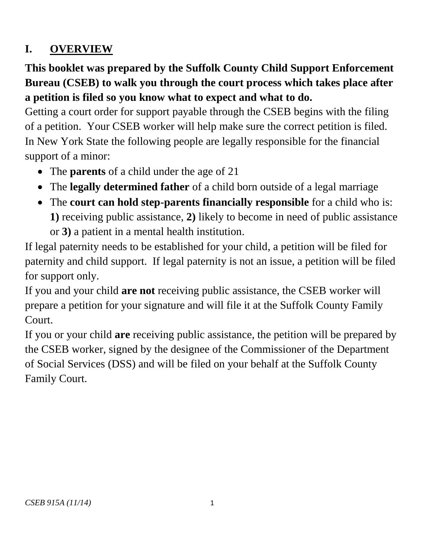# <span id="page-2-0"></span>**I. OVERVIEW**

# **This booklet was prepared by the Suffolk County Child Support Enforcement Bureau (CSEB) to walk you through the court process which takes place after a petition is filed so you know what to expect and what to do.**

Getting a court order for support payable through the CSEB begins with the filing of a petition. Your CSEB worker will help make sure the correct petition is filed. In New York State the following people are legally responsible for the financial support of a minor:

- The **parents** of a child under the age of 21
- The **legally determined father** of a child born outside of a legal marriage
- The **court can hold step-parents financially responsible** for a child who is: **1)** receiving public assistance, **2)** likely to become in need of public assistance or **3)** a patient in a mental health institution.

If legal paternity needs to be established for your child, a petition will be filed for paternity and child support. If legal paternity is not an issue, a petition will be filed for support only.

If you and your child **are not** receiving public assistance, the CSEB worker will prepare a petition for your signature and will file it at the Suffolk County Family Court.

If you or your child **are** receiving public assistance, the petition will be prepared by the CSEB worker, signed by the designee of the Commissioner of the Department of Social Services (DSS) and will be filed on your behalf at the Suffolk County Family Court.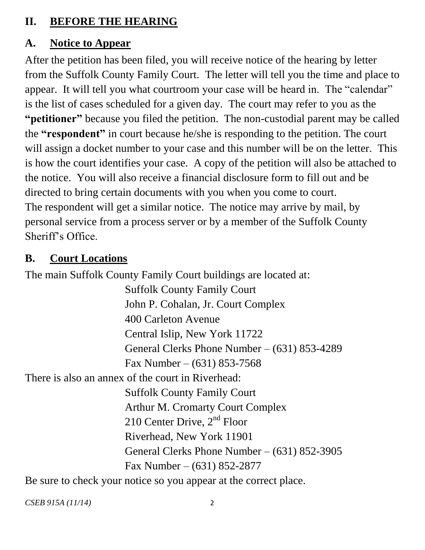#### <span id="page-3-0"></span>**II. BEFORE THE HEARING**

#### <span id="page-3-1"></span>**A. Notice to Appear**

After the petition has been filed, you will receive notice of the hearing by letter from the Suffolk County Family Court. The letter will tell you the time and place to appear. It will tell you what courtroom your case will be heard in. The "calendar" is the list of cases scheduled for a given day. The court may refer to you as the **"petitioner"** because you filed the petition. The non-custodial parent may be called the **"respondent"** in court because he/she is responding to the petition. The court will assign a docket number to your case and this number will be on the letter. This is how the court identifies your case. A copy of the petition will also be attached to the notice. You will also receive a financial disclosure form to fill out and be directed to bring certain documents with you when you come to court. The respondent will get a similar notice. The notice may arrive by mail, by personal service from a process server or by a member of the Suffolk County Sheriff's Office.

#### <span id="page-3-2"></span>**B. Court Locations**

The main Suffolk County Family Court buildings are located at:

Suffolk County Family Court John P. Cohalan, Jr. Court Complex 400 Carleton Avenue Central Islip, New York 11722 General Clerks Phone Number – (631) 853-4289 Fax Number –  $(631)$  853-7568

There is also an annex of the court in Riverhead:

Suffolk County Family Court Arthur M. Cromarty Court Complex 210 Center Drive, 2<sup>nd</sup> Floor Riverhead, New York 11901 General Clerks Phone Number – (631) 852-3905 Fax Number – (631) 852-2877

Be sure to check your notice so you appear at the correct place.

*CSEB 915A (11/14)* 2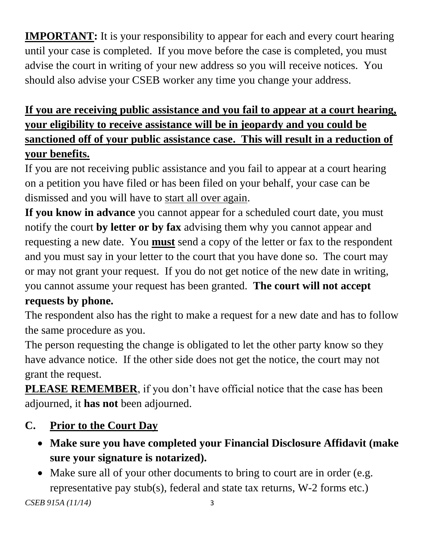**IMPORTANT:** It is your responsibility to appear for each and every court hearing until your case is completed. If you move before the case is completed, you must advise the court in writing of your new address so you will receive notices. You should also advise your CSEB worker any time you change your address.

# **If you are receiving public assistance and you fail to appear at a court hearing, your eligibility to receive assistance will be in jeopardy and you could be sanctioned off of your public assistance case. This will result in a reduction of your benefits.**

If you are not receiving public assistance and you fail to appear at a court hearing on a petition you have filed or has been filed on your behalf, your case can be dismissed and you will have to start all over again.

**If you know in advance** you cannot appear for a scheduled court date, you must notify the court **by letter or by fax** advising them why you cannot appear and requesting a new date. You **must** send a copy of the letter or fax to the respondent and you must say in your letter to the court that you have done so. The court may or may not grant your request. If you do not get notice of the new date in writing, you cannot assume your request has been granted. **The court will not accept** 

## **requests by phone.**

The respondent also has the right to make a request for a new date and has to follow the same procedure as you.

The person requesting the change is obligated to let the other party know so they have advance notice. If the other side does not get the notice, the court may not grant the request.

**PLEASE REMEMBER**, if you don't have official notice that the case has been adjourned, it **has not** been adjourned.

# <span id="page-4-0"></span>**C. Prior to the Court Day**

- **Make sure you have completed your Financial Disclosure Affidavit (make sure your signature is notarized).**
- Make sure all of your other documents to bring to court are in order (e.g. representative pay stub(s), federal and state tax returns, W-2 forms etc.)

*CSEB 915A (11/14)* 3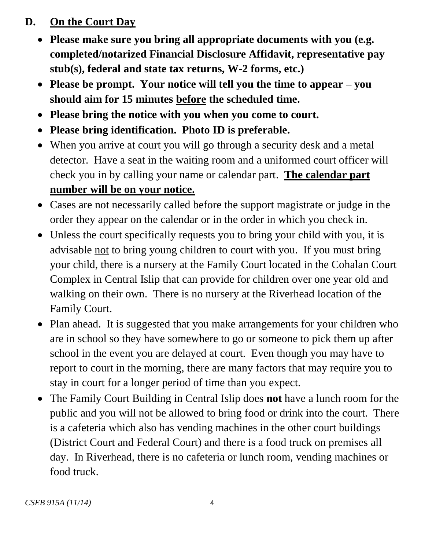#### <span id="page-5-0"></span>**D. On the Court Day**

- **Please make sure you bring all appropriate documents with you (e.g. completed/notarized Financial Disclosure Affidavit, representative pay stub(s), federal and state tax returns, W-2 forms, etc.)**
- **Please be prompt. Your notice will tell you the time to appear – you should aim for 15 minutes before the scheduled time.**
- **Please bring the notice with you when you come to court.**
- **Please bring identification. Photo ID is preferable.**
- When you arrive at court you will go through a security desk and a metal detector. Have a seat in the waiting room and a uniformed court officer will check you in by calling your name or calendar part. **The calendar part number will be on your notice.**
- Cases are not necessarily called before the support magistrate or judge in the order they appear on the calendar or in the order in which you check in.
- Unless the court specifically requests you to bring your child with you, it is advisable not to bring young children to court with you. If you must bring your child, there is a nursery at the Family Court located in the Cohalan Court Complex in Central Islip that can provide for children over one year old and walking on their own. There is no nursery at the Riverhead location of the Family Court.
- Plan ahead. It is suggested that you make arrangements for your children who are in school so they have somewhere to go or someone to pick them up after school in the event you are delayed at court. Even though you may have to report to court in the morning, there are many factors that may require you to stay in court for a longer period of time than you expect.
- The Family Court Building in Central Islip does **not** have a lunch room for the public and you will not be allowed to bring food or drink into the court. There is a cafeteria which also has vending machines in the other court buildings (District Court and Federal Court) and there is a food truck on premises all day. In Riverhead, there is no cafeteria or lunch room, vending machines or food truck.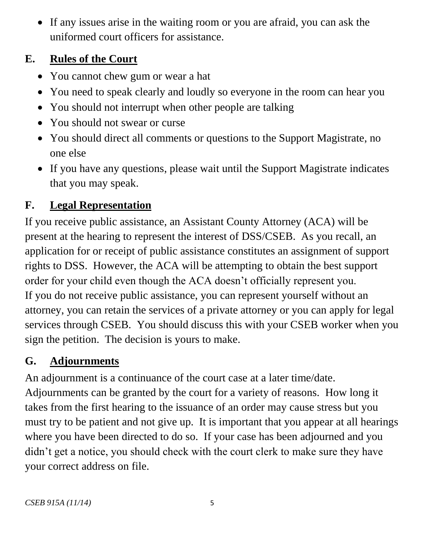If any issues arise in the waiting room or you are afraid, you can ask the uniformed court officers for assistance.

## <span id="page-6-0"></span>**E. Rules of the Court**

- You cannot chew gum or wear a hat
- You need to speak clearly and loudly so everyone in the room can hear you
- You should not interrupt when other people are talking
- You should not swear or curse
- You should direct all comments or questions to the Support Magistrate, no one else
- If you have any questions, please wait until the Support Magistrate indicates that you may speak.

# <span id="page-6-1"></span>**F. Legal Representation**

If you receive public assistance, an Assistant County Attorney (ACA) will be present at the hearing to represent the interest of DSS/CSEB. As you recall, an application for or receipt of public assistance constitutes an assignment of support rights to DSS. However, the ACA will be attempting to obtain the best support order for your child even though the ACA doesn't officially represent you. If you do not receive public assistance, you can represent yourself without an attorney, you can retain the services of a private attorney or you can apply for legal services through CSEB. You should discuss this with your CSEB worker when you sign the petition. The decision is yours to make.

# <span id="page-6-2"></span>**G. Adjournments**

An adjournment is a continuance of the court case at a later time/date. Adjournments can be granted by the court for a variety of reasons. How long it takes from the first hearing to the issuance of an order may cause stress but you must try to be patient and not give up. It is important that you appear at all hearings where you have been directed to do so. If your case has been adjourned and you didn't get a notice, you should check with the court clerk to make sure they have your correct address on file.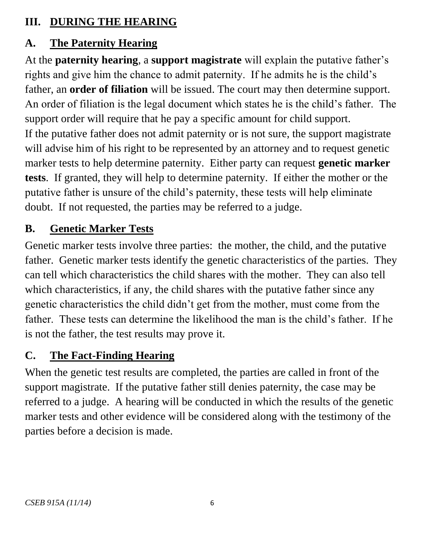#### <span id="page-7-0"></span>**III. DURING THE HEARING**

# <span id="page-7-1"></span>**A. The Paternity Hearing**

At the **paternity hearing**, a **support magistrate** will explain the putative father's rights and give him the chance to admit paternity. If he admits he is the child's father, an **order of filiation** will be issued. The court may then determine support. An order of filiation is the legal document which states he is the child's father. The support order will require that he pay a specific amount for child support. If the putative father does not admit paternity or is not sure, the support magistrate will advise him of his right to be represented by an attorney and to request genetic marker tests to help determine paternity. Either party can request **genetic marker tests**. If granted, they will help to determine paternity. If either the mother or the putative father is unsure of the child's paternity, these tests will help eliminate doubt. If not requested, the parties may be referred to a judge.

### <span id="page-7-2"></span>**B. Genetic Marker Tests**

Genetic marker tests involve three parties: the mother, the child, and the putative father. Genetic marker tests identify the genetic characteristics of the parties. They can tell which characteristics the child shares with the mother. They can also tell which characteristics, if any, the child shares with the putative father since any genetic characteristics the child didn't get from the mother, must come from the father. These tests can determine the likelihood the man is the child's father. If he is not the father, the test results may prove it.

## <span id="page-7-3"></span>**C. The Fact-Finding Hearing**

When the genetic test results are completed, the parties are called in front of the support magistrate. If the putative father still denies paternity, the case may be referred to a judge. A hearing will be conducted in which the results of the genetic marker tests and other evidence will be considered along with the testimony of the parties before a decision is made.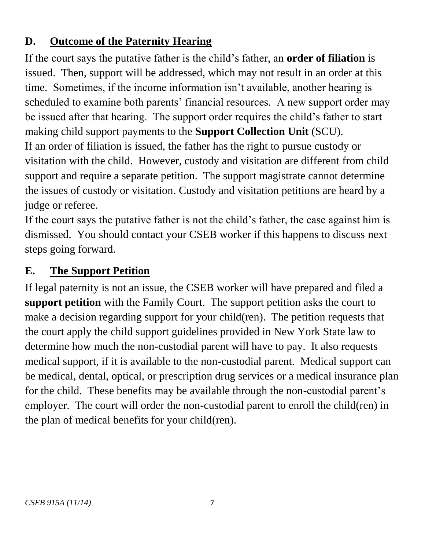### <span id="page-8-0"></span>**D. Outcome of the Paternity Hearing**

If the court says the putative father is the child's father, an **order of filiation** is issued. Then, support will be addressed, which may not result in an order at this time. Sometimes, if the income information isn't available, another hearing is scheduled to examine both parents' financial resources. A new support order may be issued after that hearing. The support order requires the child's father to start making child support payments to the **Support Collection Unit** (SCU). If an order of filiation is issued, the father has the right to pursue custody or visitation with the child. However, custody and visitation are different from child support and require a separate petition. The support magistrate cannot determine the issues of custody or visitation. Custody and visitation petitions are heard by a judge or referee.

If the court says the putative father is not the child's father, the case against him is dismissed. You should contact your CSEB worker if this happens to discuss next steps going forward.

### <span id="page-8-1"></span>**E. The Support Petition**

If legal paternity is not an issue, the CSEB worker will have prepared and filed a **support petition** with the Family Court. The support petition asks the court to make a decision regarding support for your child(ren). The petition requests that the court apply the child support guidelines provided in New York State law to determine how much the non-custodial parent will have to pay. It also requests medical support, if it is available to the non-custodial parent. Medical support can be medical, dental, optical, or prescription drug services or a medical insurance plan for the child. These benefits may be available through the non-custodial parent's employer. The court will order the non-custodial parent to enroll the child(ren) in the plan of medical benefits for your child(ren).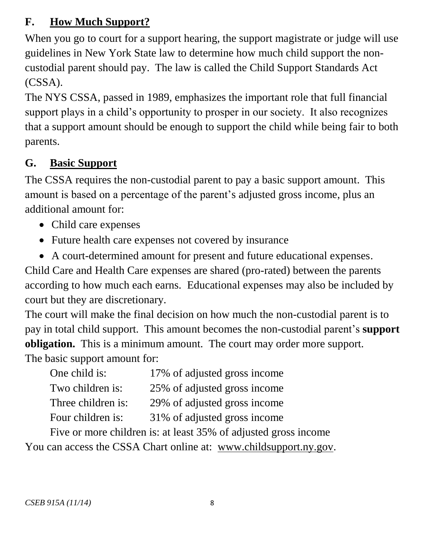#### <span id="page-9-0"></span>**F. How Much Support?**

When you go to court for a support hearing, the support magistrate or judge will use guidelines in New York State law to determine how much child support the noncustodial parent should pay. The law is called the Child Support Standards Act (CSSA).

The NYS CSSA, passed in 1989, emphasizes the important role that full financial support plays in a child's opportunity to prosper in our society. It also recognizes that a support amount should be enough to support the child while being fair to both parents.

## <span id="page-9-1"></span>**G. Basic Support**

The CSSA requires the non-custodial parent to pay a basic support amount. This amount is based on a percentage of the parent's adjusted gross income, plus an additional amount for:

- Child care expenses
- Future health care expenses not covered by insurance
- A court-determined amount for present and future educational expenses.

Child Care and Health Care expenses are shared (pro-rated) between the parents according to how much each earns. Educational expenses may also be included by court but they are discretionary.

The court will make the final decision on how much the non-custodial parent is to pay in total child support. This amount becomes the non-custodial parent's **support obligation.** This is a minimum amount. The court may order more support. The basic support amount for:

| One child is:      | 17% of adjusted gross income |
|--------------------|------------------------------|
| Two children is:   | 25% of adjusted gross income |
| Three children is: | 29% of adjusted gross income |
| Four children is:  | 31% of adjusted gross income |

Five or more children is: at least 35% of adjusted gross income You can access the CSSA Chart online at: [www.childsupport.ny.gov.](http://www.childsupport.ny.gov/)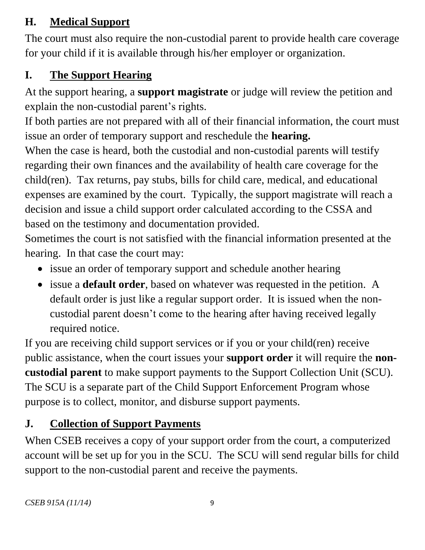## <span id="page-10-0"></span>**H. Medical Support**

The court must also require the non-custodial parent to provide health care coverage for your child if it is available through his/her employer or organization.

## <span id="page-10-1"></span>**I. The Support Hearing**

At the support hearing, a **support magistrate** or judge will review the petition and explain the non-custodial parent's rights.

If both parties are not prepared with all of their financial information, the court must issue an order of temporary support and reschedule the **hearing.**

When the case is heard, both the custodial and non-custodial parents will testify regarding their own finances and the availability of health care coverage for the child(ren). Tax returns, pay stubs, bills for child care, medical, and educational expenses are examined by the court. Typically, the support magistrate will reach a decision and issue a child support order calculated according to the CSSA and based on the testimony and documentation provided.

Sometimes the court is not satisfied with the financial information presented at the hearing. In that case the court may:

- issue an order of temporary support and schedule another hearing
- issue a **default order**, based on whatever was requested in the petition. A default order is just like a regular support order. It is issued when the noncustodial parent doesn't come to the hearing after having received legally required notice.

If you are receiving child support services or if you or your child(ren) receive public assistance, when the court issues your **support order** it will require the **noncustodial parent** to make support payments to the Support Collection Unit (SCU). The SCU is a separate part of the Child Support Enforcement Program whose purpose is to collect, monitor, and disburse support payments.

# <span id="page-10-2"></span>**J. Collection of Support Payments**

When CSEB receives a copy of your support order from the court, a computerized account will be set up for you in the SCU. The SCU will send regular bills for child support to the non-custodial parent and receive the payments.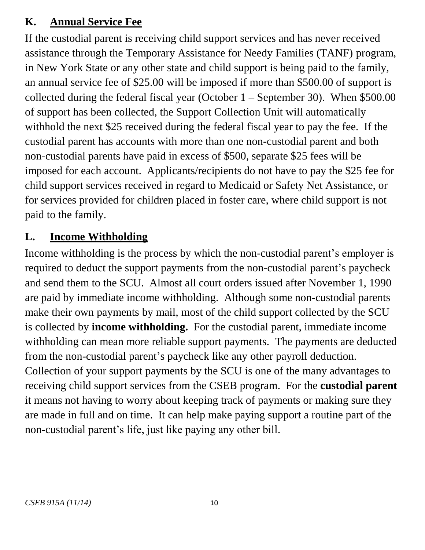#### <span id="page-11-0"></span>**K. Annual Service Fee**

If the custodial parent is receiving child support services and has never received assistance through the Temporary Assistance for Needy Families (TANF) program, in New York State or any other state and child support is being paid to the family, an annual service fee of \$25.00 will be imposed if more than \$500.00 of support is collected during the federal fiscal year (October 1 – September 30). When \$500.00 of support has been collected, the Support Collection Unit will automatically withhold the next \$25 received during the federal fiscal year to pay the fee. If the custodial parent has accounts with more than one non-custodial parent and both non-custodial parents have paid in excess of \$500, separate \$25 fees will be imposed for each account. Applicants/recipients do not have to pay the \$25 fee for child support services received in regard to Medicaid or Safety Net Assistance, or for services provided for children placed in foster care, where child support is not paid to the family.

#### <span id="page-11-1"></span>**L. Income Withholding**

Income withholding is the process by which the non-custodial parent's employer is required to deduct the support payments from the non-custodial parent's paycheck and send them to the SCU. Almost all court orders issued after November 1, 1990 are paid by immediate income withholding. Although some non-custodial parents make their own payments by mail, most of the child support collected by the SCU is collected by **income withholding.** For the custodial parent, immediate income withholding can mean more reliable support payments. The payments are deducted from the non-custodial parent's paycheck like any other payroll deduction. Collection of your support payments by the SCU is one of the many advantages to receiving child support services from the CSEB program. For the **custodial parent** it means not having to worry about keeping track of payments or making sure they are made in full and on time. It can help make paying support a routine part of the non-custodial parent's life, just like paying any other bill.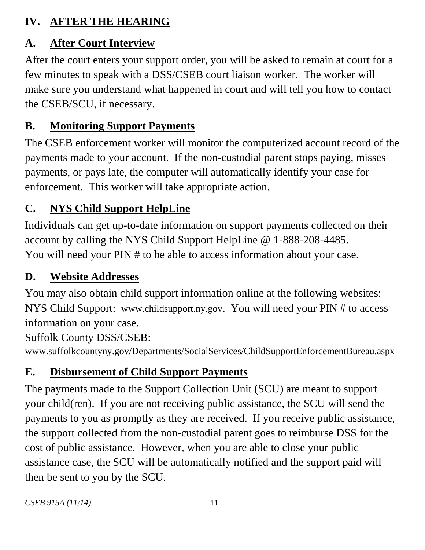## <span id="page-12-0"></span>**IV. AFTER THE HEARING**

## <span id="page-12-1"></span>**A. After Court Interview**

After the court enters your support order, you will be asked to remain at court for a few minutes to speak with a DSS/CSEB court liaison worker. The worker will make sure you understand what happened in court and will tell you how to contact the CSEB/SCU, if necessary.

# <span id="page-12-2"></span>**B. Monitoring Support Payments**

The CSEB enforcement worker will monitor the computerized account record of the payments made to your account. If the non-custodial parent stops paying, misses payments, or pays late, the computer will automatically identify your case for enforcement. This worker will take appropriate action.

# <span id="page-12-3"></span>**C. NYS Child Support HelpLine**

Individuals can get up-to-date information on support payments collected on their account by calling the NYS Child Support HelpLine @ 1-888-208-4485. You will need your PIN # to be able to access information about your case.

# <span id="page-12-4"></span>**D. Website Addresses**

You may also obtain child support information online at the following websites: NYS Child Support: [www.childsupport.ny.gov](http://www.childsupport.ny.gov/). You will need your PIN # to access information on your case.

Suffolk County DSS/CSEB:

[www.suffolkcountyny.gov/Departments/SocialServices/ChildSupportEnforcementBureau.aspx](http://www.suffolkcountyny.gov/Departments/SocialServices/ChildSupportEnforcementBureau.aspx)

# <span id="page-12-5"></span>**E. Disbursement of Child Support Payments**

The payments made to the Support Collection Unit (SCU) are meant to support your child(ren). If you are not receiving public assistance, the SCU will send the payments to you as promptly as they are received. If you receive public assistance, the support collected from the non-custodial parent goes to reimburse DSS for the cost of public assistance. However, when you are able to close your public assistance case, the SCU will be automatically notified and the support paid will then be sent to you by the SCU.

*CSEB 915A (11/14)* 11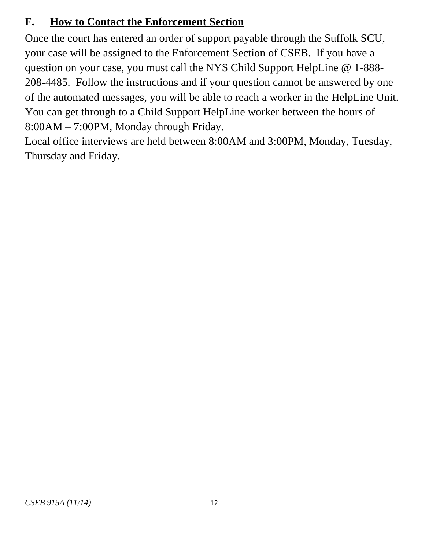## <span id="page-13-0"></span>**F. How to Contact the Enforcement Section**

Once the court has entered an order of support payable through the Suffolk SCU, your case will be assigned to the Enforcement Section of CSEB. If you have a question on your case, you must call the NYS Child Support HelpLine @ 1-888- 208-4485. Follow the instructions and if your question cannot be answered by one of the automated messages, you will be able to reach a worker in the HelpLine Unit. You can get through to a Child Support HelpLine worker between the hours of 8:00AM – 7:00PM, Monday through Friday.

Local office interviews are held between 8:00AM and 3:00PM, Monday, Tuesday, Thursday and Friday.